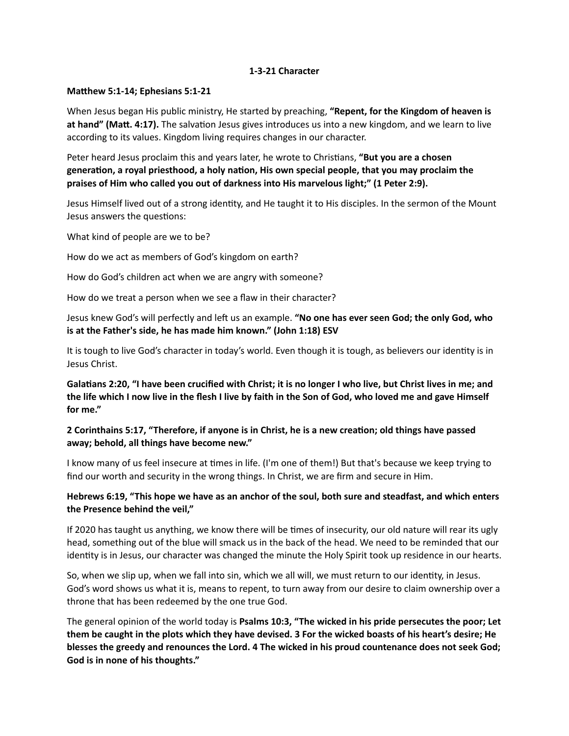#### **1-3-21 Character**

#### **Matthew 5:1-14; Ephesians 5:1-21**

When Jesus began His public ministry, He started by preaching, **"Repent, for the Kingdom of heaven is at hand" (Matt. 4:17).** The salvation Jesus gives introduces us into a new kingdom, and we learn to live according to its values. Kingdom living requires changes in our character.

Peter heard Jesus proclaim this and years later, he wrote to Christians, "But you are a chosen generation, a royal priesthood, a holy nation, His own special people, that you may proclaim the **praises of Him who called you out of darkness into His marvelous light;" (1 Peter 2:9).** 

Jesus Himself lived out of a strong identity, and He taught it to His disciples. In the sermon of the Mount Jesus answers the questions:

What kind of people are we to be?

How do we act as members of God's kingdom on earth?

How do God's children act when we are angry with someone?

How do we treat a person when we see a flaw in their character?

Jesus knew God's will perfectly and left us an example. "No one has ever seen God; the only God, who **is at the Father's side, he has made him known." (John 1:18) ESV**

It is tough to live God's character in today's world. Even though it is tough, as believers our identity is in Jesus Christ.

Galatians 2:20, "I have been crucified with Christ; it is no longer I who live, but Christ lives in me; and **the life which I now live in the flesh I live by faith in the Son of God, who loved me and gave Himself for me."** 

### **2 Corinthains 5:17, "Therefore, if anyone is in Christ, he is a new creation; old things have passed away; behold, all things have become new."**

I know many of us feel insecure at times in life. (I'm one of them!) But that's because we keep trying to find our worth and security in the wrong things. In Christ, we are firm and secure in Him.

#### **Hebrews 6:19, "This hope we have as an anchor of the soul, both sure and steadfast, and which enters the Presence behind the veil,"**

If 2020 has taught us anything, we know there will be times of insecurity, our old nature will rear its ugly head, something out of the blue will smack us in the back of the head. We need to be reminded that our identity is in Jesus, our character was changed the minute the Holy Spirit took up residence in our hearts.

So, when we slip up, when we fall into sin, which we all will, we must return to our identity, in Jesus. God's word shows us what it is, means to repent, to turn away from our desire to claim ownership over a throne that has been redeemed by the one true God.

The general opinion of the world today is **Psalms 10:3, "The wicked in his pride persecutes the poor; Let them be caught in the plots which they have devised. 3 For the wicked boasts of his heart's desire; He blesses the greedy and renounces the Lord. 4 The wicked in his proud countenance does not seek God; God is in none of his thoughts."**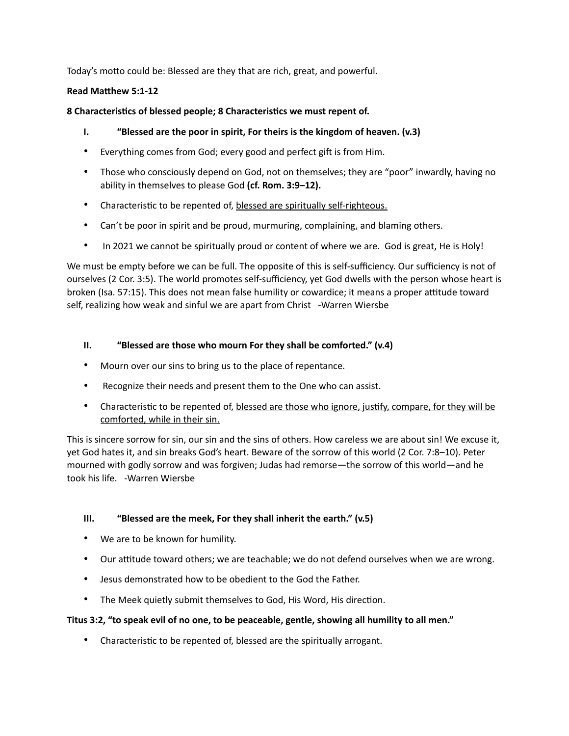Today's motto could be: Blessed are they that are rich, great, and powerful.

### **Read Matthew 5:1-12**

#### 8 Characteristics of blessed people; 8 Characteristics we must repent of.

- **I. "Blessed are the poor in spirit, For theirs is the kingdom of heaven. (v.3)**
- Everything comes from God; every good and perfect gift is from Him.
- Those who consciously depend on God, not on themselves; they are "poor" inwardly, having no ability in themselves to please God **(cf. Rom. 3:9–12).**
- Characteristic to be repented of, blessed are spiritually self-righteous.
- Can't be poor in spirit and be proud, murmuring, complaining, and blaming others.
- In 2021 we cannot be spiritually proud or content of where we are. God is great, He is Holy!

We must be empty before we can be full. The opposite of this is self-sufficiency. Our sufficiency is not of ourselves (2 Cor. 3:5). The world promotes self-sufficiency, yet God dwells with the person whose heart is broken (Isa. 57:15). This does not mean false humility or cowardice; it means a proper attitude toward self, realizing how weak and sinful we are apart from Christ -Warren Wiersbe

#### **II. "Blessed are those who mourn For they shall be comforted." (v.4)**

- Mourn over our sins to bring us to the place of repentance.
- Recognize their needs and present them to the One who can assist.
- Characteristic to be repented of, blessed are those who ignore, justify, compare, for they will be comforted, while in their sin.

This is sincere sorrow for sin, our sin and the sins of others. How careless we are about sin! We excuse it, yet God hates it, and sin breaks God's heart. Beware of the sorrow of this world (2 Cor. 7:8–10). Peter mourned with godly sorrow and was forgiven; Judas had remorse—the sorrow of this world—and he took his life. -Warren Wiersbe

# **III. "Blessed are the meek, For they shall inherit the earth." (v.5)**

- We are to be known for humility.
- Our attitude toward others; we are teachable; we do not defend ourselves when we are wrong.
- Jesus demonstrated how to be obedient to the God the Father.
- The Meek quietly submit themselves to God, His Word, His direction.

#### **Titus 3:2, "to speak evil of no one, to be peaceable, gentle, showing all humility to all men."**

• Characteristic to be repented of, blessed are the spiritually arrogant.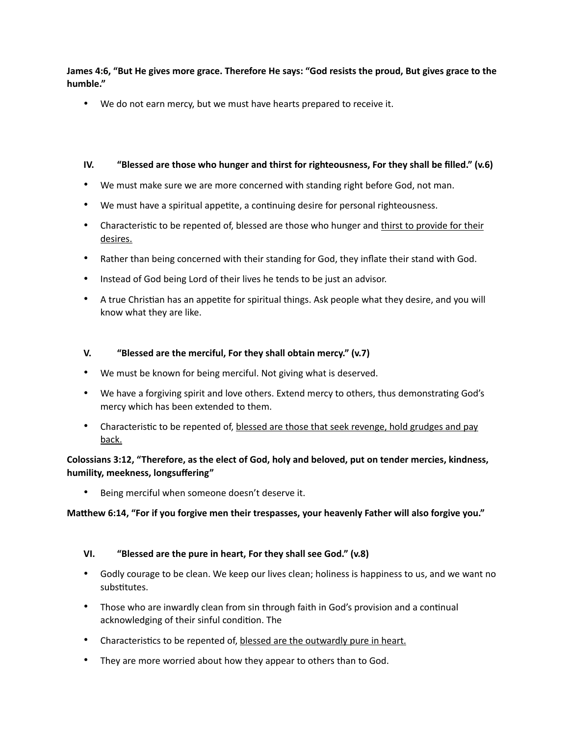**James 4:6, "But He gives more grace. Therefore He says: "God resists the proud, But gives grace to the humble."**

• We do not earn mercy, but we must have hearts prepared to receive it.

#### **IV. "Blessed are those who hunger and thirst for righteousness, For they shall be filled." (v.6)**

- We must make sure we are more concerned with standing right before God, not man.
- We must have a spiritual appetite, a continuing desire for personal righteousness.
- Characteristic to be repented of, blessed are those who hunger and thirst to provide for their desires.
- Rather than being concerned with their standing for God, they inflate their stand with God.
- Instead of God being Lord of their lives he tends to be just an advisor.
- A true Christian has an appetite for spiritual things. Ask people what they desire, and you will know what they are like.

#### **V. "Blessed are the merciful, For they shall obtain mercy." (v.7)**

- We must be known for being merciful. Not giving what is deserved.
- We have a forgiving spirit and love others. Extend mercy to others, thus demonstrating God's mercy which has been extended to them.
- Characteristic to be repented of, blessed are those that seek revenge, hold grudges and pay back.

# **Colossians 3:12, "Therefore, as the elect of God, holy and beloved, put on tender mercies, kindness, humility, meekness, longsuffering"**

Being merciful when someone doesn't deserve it.

#### Matthew 6:14, "For if you forgive men their trespasses, your heavenly Father will also forgive you."

#### **VI. "Blessed are the pure in heart, For they shall see God." (v.8)**

- Godly courage to be clean. We keep our lives clean; holiness is happiness to us, and we want no substitutes.
- Those who are inwardly clean from sin through faith in God's provision and a continual acknowledging of their sinful condition. The
- Characteristics to be repented of, blessed are the outwardly pure in heart.
- They are more worried about how they appear to others than to God.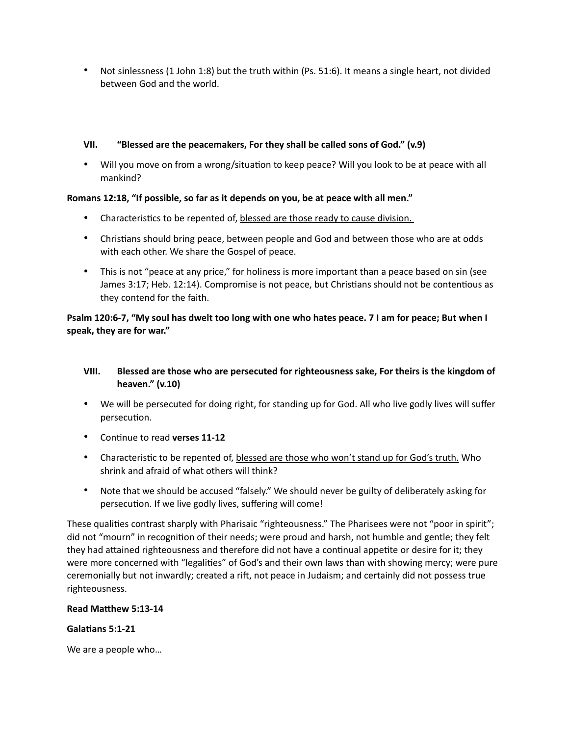• Not sinlessness (1 John 1:8) but the truth within (Ps. 51:6). It means a single heart, not divided between God and the world.

### **VII. "Blessed are the peacemakers, For they shall be called sons of God." (v.9)**

• Will you move on from a wrong/situation to keep peace? Will you look to be at peace with all mankind?

### **Romans 12:18, "If possible, so far as it depends on you, be at peace with all men."**

- Characteristics to be repented of, blessed are those ready to cause division.
- Christians should bring peace, between people and God and between those who are at odds with each other. We share the Gospel of peace.
- This is not "peace at any price," for holiness is more important than a peace based on sin (see James 3:17; Heb. 12:14). Compromise is not peace, but Christians should not be contentious as they contend for the faith.

# **Psalm 120:6-7, "My soul has dwelt too long with one who hates peace. 7 I am for peace; But when I speak, they are for war."**

# **VIII. Blessed are those who are persecuted for righteousness sake, For theirs is the kingdom of heaven." (v.10)**

- We will be persecuted for doing right, for standing up for God. All who live godly lives will suffer persecution.
- Continue to read verses 11-12
- Characteristic to be repented of, blessed are those who won't stand up for God's truth. Who shrink and afraid of what others will think?
- Note that we should be accused "falsely." We should never be guilty of deliberately asking for persecution. If we live godly lives, suffering will come!

These qualities contrast sharply with Pharisaic "righteousness." The Pharisees were not "poor in spirit"; did not "mourn" in recognition of their needs; were proud and harsh, not humble and gentle; they felt they had attained righteousness and therefore did not have a continual appetite or desire for it; they were more concerned with "legalities" of God's and their own laws than with showing mercy; were pure ceremonially but not inwardly; created a rift, not peace in Judaism; and certainly did not possess true righteousness.

#### **Read Matthew 5:13-14**

# **Galatians 5:1-21**

We are a people who…